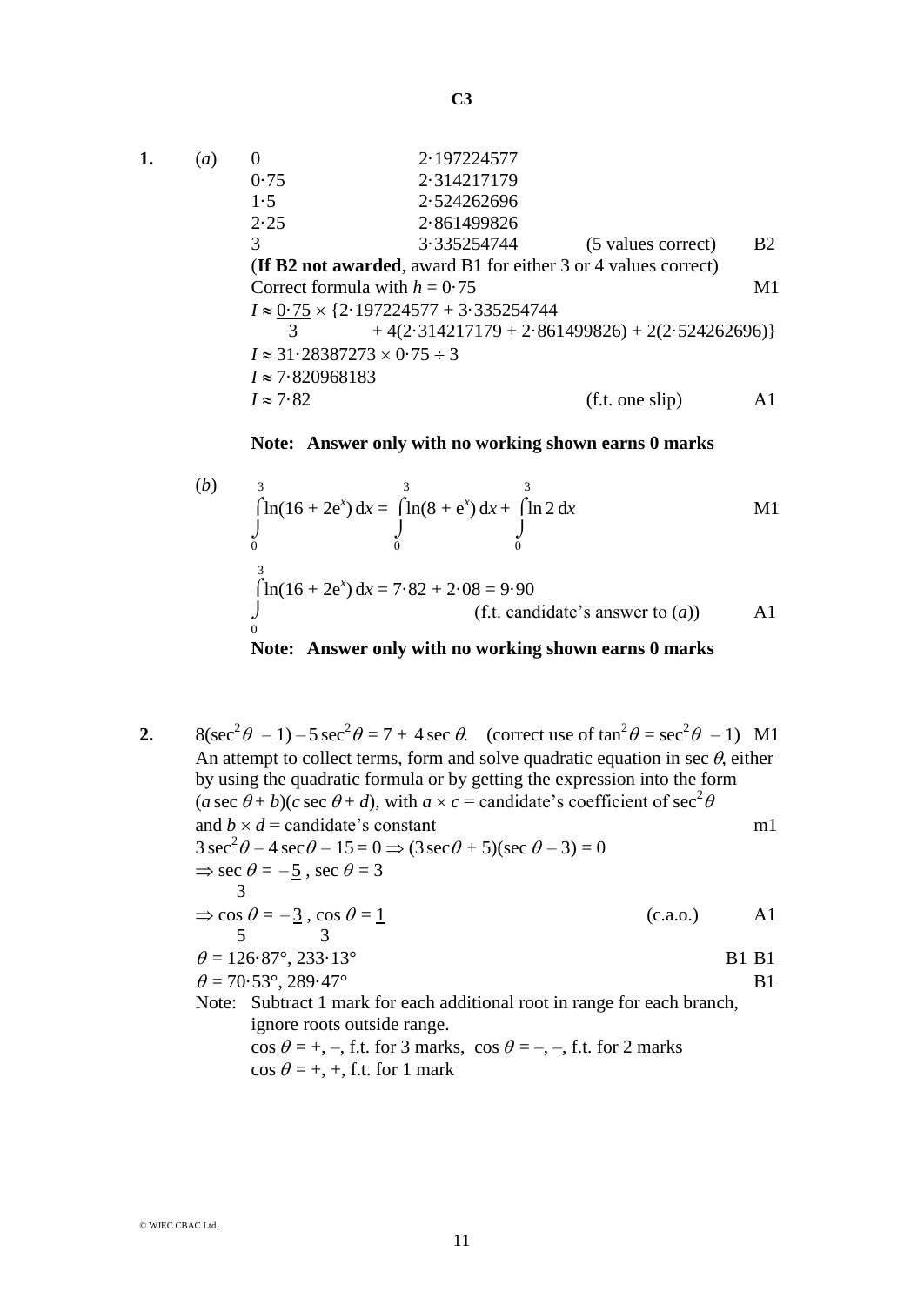**C3**

| 1. | (a) |                                                                       | 2.197224577                     |                    |                |  |  |
|----|-----|-----------------------------------------------------------------------|---------------------------------|--------------------|----------------|--|--|
|    |     | 0.75                                                                  | 2.314217179                     |                    |                |  |  |
|    |     | 1.5                                                                   | 2.524262696                     |                    |                |  |  |
|    |     | 2.25                                                                  | 2.861499826                     |                    |                |  |  |
|    |     | 3                                                                     | 3.335254744                     | (5 values correct) | <b>B2</b>      |  |  |
|    |     | <b>(If B2 not awarded, award B1 for either 3 or 4 values correct)</b> |                                 |                    |                |  |  |
|    |     |                                                                       | Correct formula with $h = 0.75$ |                    | M <sub>1</sub> |  |  |
|    |     | $I \approx 0.75 \times \{2.197224577 + 3.335254744\}$                 |                                 |                    |                |  |  |
|    |     | $+4(2.314217179 + 2.861499826) + 2(2.524262696))$                     |                                 |                    |                |  |  |
|    |     | $I \approx 31.28387273 \times 0.75 \div 3$                            |                                 |                    |                |  |  |
|    |     | $I \approx 7.820968183$                                               |                                 |                    |                |  |  |
|    |     | $I \approx 7.82$                                                      |                                 | (f.t. one slip)    |                |  |  |

## **Note: Answer only with no working shown earns 0 marks**

(b) 
$$
\int_{0}^{3} \ln(16 + 2e^{x}) dx = \int_{0}^{3} \ln(8 + e^{x}) dx + \int_{0}^{3} \ln 2 dx
$$
 M1  
\n
$$
\int_{0}^{3} \ln(16 + 2e^{x}) dx = 7.82 + 2.08 = 9.90
$$
\n(f.t. candidate's answer to (a))

**Note: Answer only with no working shown earns 0 marks**

**2.**  $8(\sec^2 \theta - 1) - 5 \sec^2 \theta = 7 + 4 \sec \theta$ . (correct use of  $\tan^2 \theta = \sec^2 \theta - 1$ ) M1 An attempt to collect terms, form and solve quadratic equation in sec  $\theta$ , either by using the quadratic formula or by getting the expression into the form  $(a \sec \theta + b)(c \sec \theta + d)$ , with  $a \times c$  = candidate's coefficient of  $\sec^2 \theta$ and  $b \times d$  = candidate's constant m1  $3 \sec^2 \theta - 4 \sec \theta - 15 = 0 \Rightarrow (3 \sec \theta + 5)(\sec \theta - 3) = 0$  $\Rightarrow$  sec  $\theta = -\frac{5}{5}$ , sec  $\theta = 3$  3  $\Rightarrow$  cos  $\theta = -\frac{3}{2}$ , cos  $\theta = \frac{1}{2}$  (c.a.o.) A1 5 3  $\theta = 126.87^{\circ}, 233.13^{\circ}$  B1 B1  $\theta = 70.53^{\circ}, 289.47^{\circ}$  B1 Note: Subtract 1 mark for each additional root in range for each branch, ignore roots outside range.  $\cos \theta = +, -$ , f.t. for 3 marks,  $\cos \theta = -, -$ , f.t. for 2 marks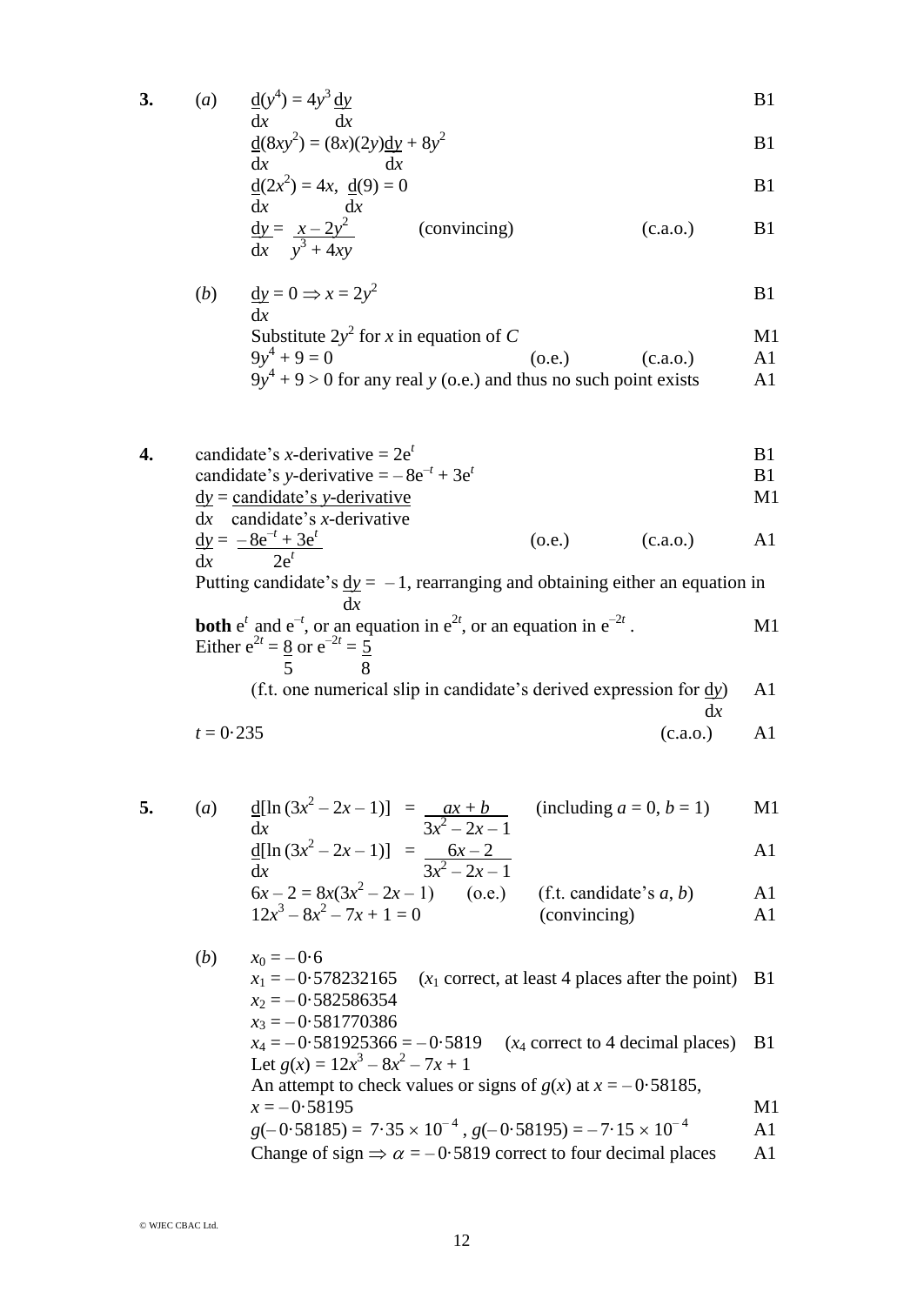3. (a) 
$$
\frac{d(y^4)}{dx} = 4y^3 \frac{dy}{dx}
$$
 B1

$$
\frac{d(8xy^2)}{dx} = (8x)(2y)\frac{dy}{dx} + 8y^2
$$
 B1

$$
\frac{d}{dx}(2x^2) = 4x, \quad \frac{d}{dx}(9) = 0
$$

$$
\frac{dy}{dx} = \frac{x - 2y^2}{y^3 + 4xy}
$$
 (convincing) (c.a.o.) B1

(b) 
$$
\frac{dy}{dx} = 0 \Rightarrow x = 2y^2
$$

Substitute 
$$
2y^2
$$
 for x in equation of C  
\n $9y^4 + 9 = 0$  (o.e.) (c.a.o.) A1  
\n $9y^4 + 9 > 0$  for any real y (o.e.) and thus no such point exists A1

4. candidate's 
$$
x
$$
-derivative =  $2e^t$ 

\n2. Evaluate's  $y$ -derivative =  $-8e^{-t} + 3e^t$ 

\n3. By the equation of the equation:

\n4. Find the equation:

\n5. A 1

\n5. A 2

\n6. a 1

\n7. A 3

\n8. a 2

\n9. a 3

\n10. a 1

\n11. A 2

\n12. B 3

\n13. B 4

\n14. B 5

\n15. A 6

\n16. B 7

\n17. B 8

\n18. A 9

\n19. A 1

\n10. B 1

\n11. B 1

\n12. B 2

\n13. A 3

\n14. B 4

\n15. A 4

\n16. B 5

\n17. B 6

\n18. A 5

\n19. A 6

\n10. B 7

\n11. B 8

\n12. B 9

\n13. A 1

\n14. B 1

\n15. A 1

\n16. B 1

\n17. B 2

\n18. A 3

\n19. B 4

\n10. B 5

\n11. B 6

\n12. B 7

\n13. A 1

\n14. B 1

\n15. A 1

\n16. B 1

\n17. B 2

\n18. A 1

\n19. B 1

\n10. B 2

\n11. B 3

\n12. B 4

\n13. A 1

\n14. B 4

\n15. A 1

\n16. B 1

\n17. B 2

\n18. A 1

\n19. B 1

\n10. B 1

\

Putting candidate's  $\underline{dy} = -1$ , rearranging and obtaining either an equation in  $\frac{d}{dx}$ *t*

**both** 
$$
e^t
$$
 and  $e^{-t}$ , or an equation in  $e^{2t}$ , or an equation in  $e^{-2t}$ .  
\n**Either**  $e^{2t} = \frac{8}{5}$  or  $e^{-2t} = \frac{5}{8}$ 

(f.t. one numerical slip in candidate's derived expression for  $\frac{dy}{dx}$ ) A1 d*x*

$$
t = 0.235
$$
 (c.a.o.) A1

5. (a) 
$$
\frac{d[\ln(3x^2 - 2x - 1)]}{dx} = \frac{ax + b}{3x^2 - 2x - 1}
$$
 (including  $a = 0, b = 1$ ) M1

$$
\frac{d[\ln(3x^2 - 2x - 1)]}{dx} = \frac{6x - 2}{3x^2 - 2x - 1}
$$

$$
6x - 2 = 8x(3x2 - 2x - 1)
$$
 (o.e.) (f.t. candidate's *a*, *b*) A1  
12x<sup>3</sup> - 8x<sup>2</sup> - 7x + 1 = 0 (conving) A1

(b) 
$$
x_0 = -0.6
$$
  
\n $x_1 = -0.578232165$  ( $x_1$  correct, at least 4 places after the point) B1  
\n $x_2 = -0.582586354$   
\n $x_3 = -0.581770386$   
\n $x_4 = -0.581925366 = -0.5819$  ( $x_4$  correct to 4 decimal places) B1  
\nLet  $g(x) = 12x^3 - 8x^2 - 7x + 1$   
\nAn attempt to check values or signs of  $g(x)$  at  $x = -0.58185$ ,  
\n $x = -0.58195$   
\n $g(-0.58185) = 7.35 \times 10^{-4}$ ,  $g(-0.58195) = -7.15 \times 10^{-4}$  A1  
\nChange of sign  $\Rightarrow \alpha = -0.5819$  correct to four decimal places A1

© WJEC CBAC Ltd.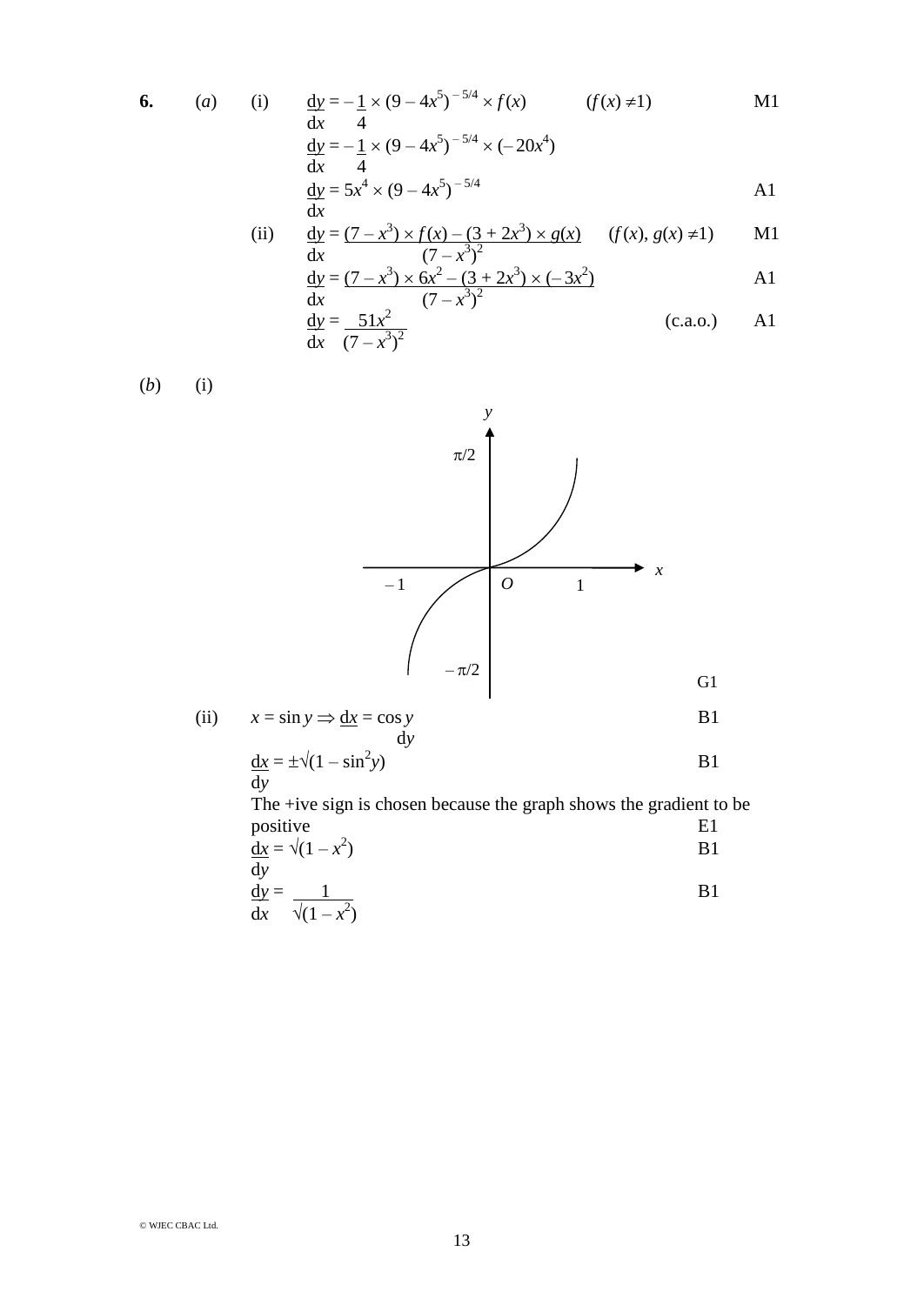6. (a) (i) 
$$
\frac{dy}{dx} = -\frac{1}{4} \times (9 - 4x^5)^{-5/4} \times f(x)
$$
 (f(x)  $\neq$ 1)  
\n $\frac{dy}{dx} = -\frac{1}{4} \times (9 - 4x^5)^{-5/4} \times (-20x^4)$   
\n $\frac{dy}{dx} = 5x^4 \times (9 - 4x^5)^{-5/4}$  A1

(ii) 
$$
\frac{dx}{dx} = \frac{(7 - x^3) \times f(x) - (3 + 2x^3) \times g(x)}{(7 - x^3)^2} \qquad (f(x), g(x) \neq 1) \qquad \text{M1}
$$

$$
\frac{dy}{dx} = \frac{(7 - x^3) \times 6x^2 - (3 + 2x^3) \times (-3x^2)}{(7 - x^3)^2}
$$

$$
\frac{dy}{dx} = \frac{51x^2}{(7 - x^3)^2}
$$
 (c.a.o.) A1

(*b*) (i)



(ii) 
$$
x = \sin y \Rightarrow \frac{dx}{dx} = \cos y
$$
 B1

$$
\frac{dx}{dy} = \pm \sqrt{(1 - \sin^2 y)}
$$
 B1

The +ive sign is chosen because the graph shows the gradient to be positive E1

$$
\frac{dx}{dv} = \sqrt{1 - x^2}
$$
 B1

$$
\frac{dy}{dx} = \frac{1}{\sqrt{1 - x^2}}
$$

© WJEC CBAC Ltd.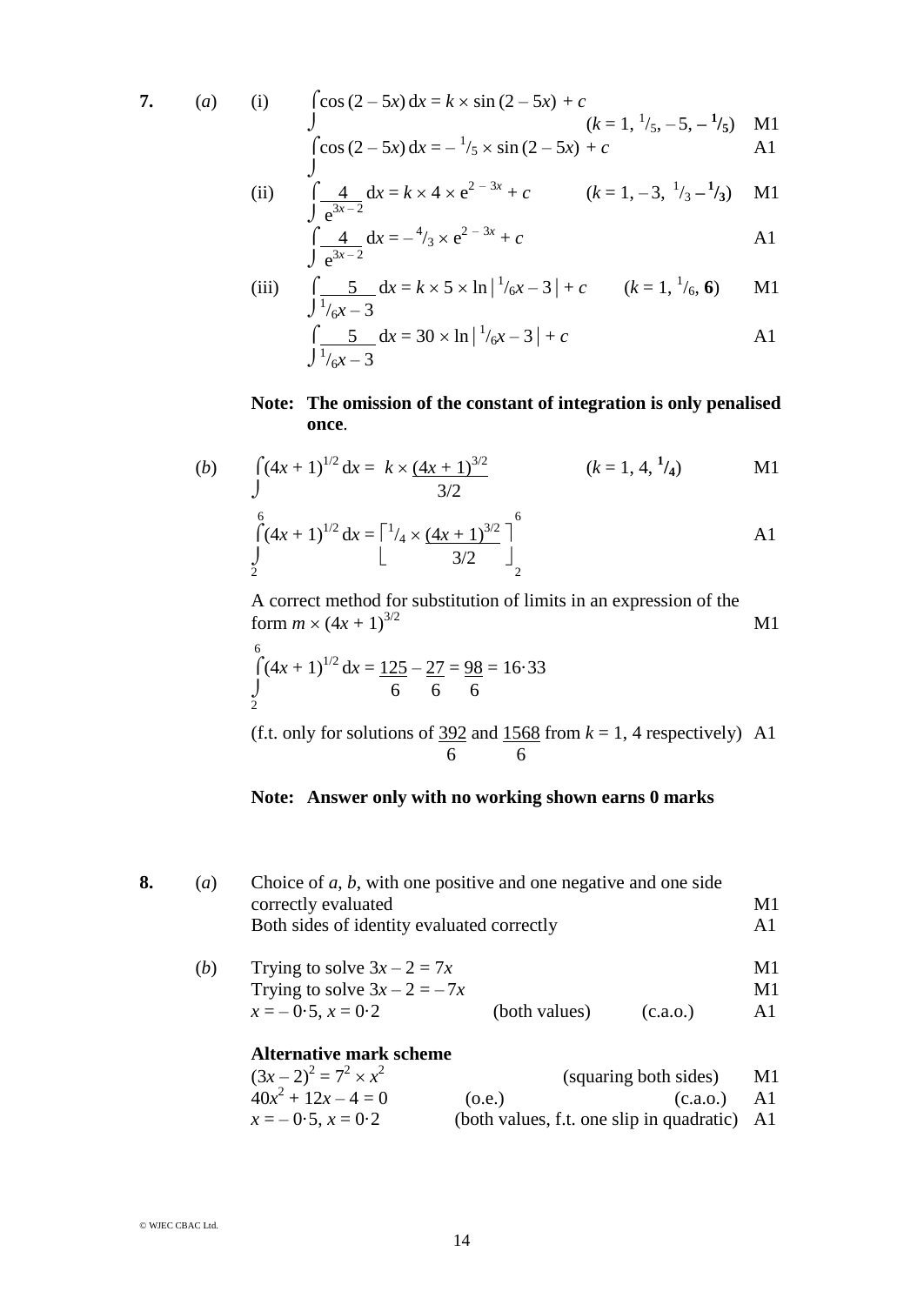$$
'.\qquad(\iota
$$

7. (a) (i) 
$$
\int \cos(2-5x) dx = k \times \sin(2-5x) + c
$$
  
\n $\int (k = 1, \frac{1}{5}, -5, -\frac{1}{5})$  M1  
\n $\int \cos(2-5x) dx = -\frac{1}{5} \times \sin(2-5x) + c$  A1

(ii) 
$$
\int_{C} \frac{4}{e^{3x-2}} dx = k \times 4 \times e^{2-3x} + c
$$
  $(k = 1, -3, \frac{1}{3} - \frac{1}{3})$  M1

$$
\int \frac{4}{e^{3x-2}} dx = -\frac{4}{3} \times e^{2-3x} + c
$$

(iii) 
$$
\int \frac{5}{\sqrt{1/6x - 3}} dx = k \times 5 \times \ln|\frac{1}{6x} - 3| + c \qquad (k = 1, \frac{1}{6}, 6) \qquad \text{M1}
$$

$$
\int \frac{5}{1/6x - 3} dx = 30 \times \ln|^{1}/6x - 3| + c
$$
 A1

## **Note: The omission of the constant of integration is only penalised once**.

(b) 
$$
\int_{0}^{2\pi} (4x+1)^{1/2} dx = k \times \frac{(4x+1)^{3/2}}{3/2}
$$
 (k = 1, 4, <sup>1</sup>/<sub>4</sub>) M1

$$
\int_{2}^{6} (4x+1)^{1/2} dx = \left[ \frac{1}{4} \times \frac{(4x+1)^{3/2}}{3/2} \right]_{2}^{6}
$$

A correct method for substitution of limits in an expression of the form  $m \times (4x + 1)^{3/2}$  M1

$$
\int_{2}^{6} (4x+1)^{1/2} dx = \frac{125}{6} - \frac{27}{6} = \frac{98}{6} = 16.33
$$

(f.t. only for solutions of  $392$  and  $1568$  from  $k = 1$ , 4 respectively) A1 6 6

## **Note: Answer only with no working shown earns 0 marks**

| 8. | (a) | Choice of $a, b$ , with one positive and one negative and one side |                                           |          |    |  |
|----|-----|--------------------------------------------------------------------|-------------------------------------------|----------|----|--|
|    |     | correctly evaluated                                                |                                           |          |    |  |
|    |     | Both sides of identity evaluated correctly                         |                                           |          |    |  |
|    | (b) | Trying to solve $3x - 2 = 7x$                                      |                                           |          | M1 |  |
|    |     | Trying to solve $3x - 2 = -7x$<br>M1                               |                                           |          |    |  |
|    |     | $x = -0.5$ , $x = 0.2$                                             | (both values)                             | (c.a.0.) | A1 |  |
|    |     | <b>Alternative mark scheme</b>                                     |                                           |          |    |  |
|    |     | $(3x-2)^2 = 7^2 \times x^2$<br>(squaring both sides)               |                                           |          | M1 |  |
|    |     | $40x^{2} + 12x - 4 = 0$                                            | (0.e.)                                    | (c.a.o.) | A1 |  |
|    |     | $x = -0.5$ , $x = 0.2$                                             | (both values, f.t. one slip in quadratic) |          | A1 |  |